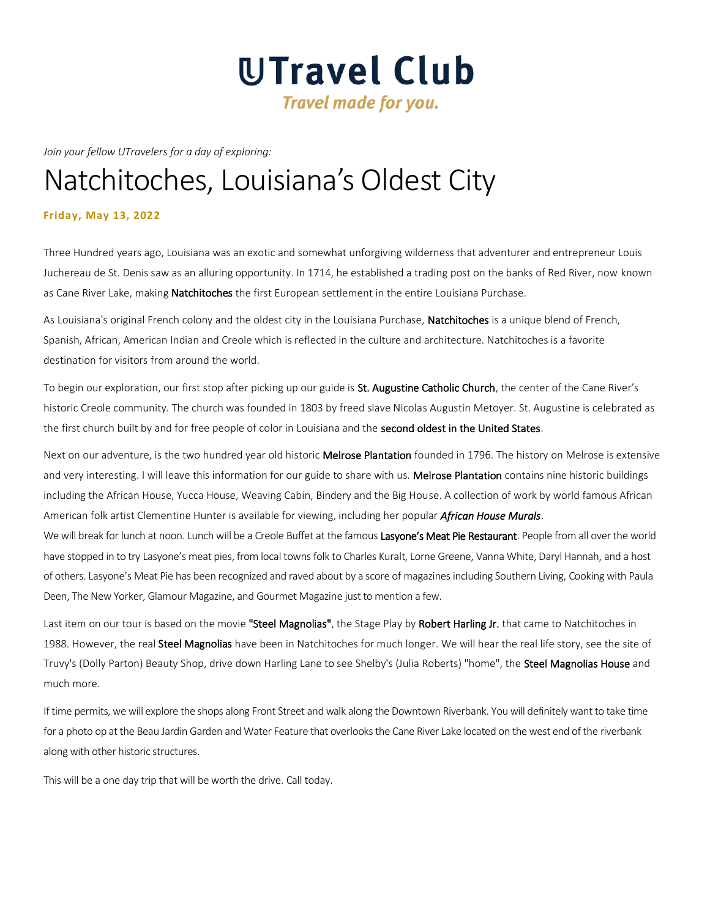# UTravel Club **Travel made for you.**

*Join your fellow UTravelers for a day of exploring:*

# Natchitoches, Louisiana's Oldest City

# **Friday, May 13, 2022**

Three Hundred years ago, Louisiana was an exotic and somewhat unforgiving wilderness that adventurer and entrepreneur Louis Juchereau de St. Denis saw as an alluring opportunity. In 1714, he established a trading post on the banks of Red River, now known as Cane River Lake, making Natchitoches the first European settlement in the entire Louisiana Purchase.

As Louisiana's original French colony and the oldest city in the Louisiana Purchase, Natchitoches is a unique blend of French, Spanish, African, American Indian and Creole which is reflected in the culture and architecture. Natchitoches is a favorite destination for visitors from around the world.

To begin our exploration, our first stop after picking up our guide is St. Augustine Catholic Church, the center of the Cane River's historic Creole community. The church was founded in 1803 by freed slave Nicolas Augustin Metoyer. St. Augustine is celebrated as the first church built by and for free people of color in Louisiana and the second oldest in the United States.

Next on our adventure, is the two hundred year old historic Melrose Plantation founded in 1796. The history on Melrose is extensive and very interesting. I will leave this information for our guide to share with us. Melrose Plantation contains nine historic buildings including the African House, Yucca House, Weaving Cabin, Bindery and the Big House. A collection of work by world famous African American folk artist Clementine Hunter is available for viewing, including her popular *African House Murals*.

We will break for lunch at noon. Lunch will be a Creole Buffet at the famous Lasyone's Meat Pie Restaurant. People from all over the world have stopped in to try Lasyone's meat pies, from local towns folk to Charles Kuralt, Lorne Greene, Vanna White, Daryl Hannah, and a host of others. Lasyone's Meat Pie has been recognized and raved about by a score of magazines including Southern Living, Cooking with Paula Deen, The New Yorker, Glamour Magazine, and Gourmet Magazine just to mention a few.

Last item on our tour is based on the movie "Steel Magnolias", the Stage Play by Robert Harling Jr. that came to Natchitoches in 1988. However, the real Steel Magnolias have been in Natchitoches for much longer. We will hear the real life story, see the site of Truvy's (Dolly Parton) Beauty Shop, drive down Harling Lane to see Shelby's (Julia Roberts) "home", the Steel Magnolias House and much more.

If time permits, we will explore the shops along Front Street and walk along the Downtown Riverbank. You will definitely want to take time for a photo op at the Beau Jardin Garden and Water Feature that overlooks the Cane River Lake located on the west end of the riverbank along with other historic structures.

This will be a one day trip that will be worth the drive. Call today.